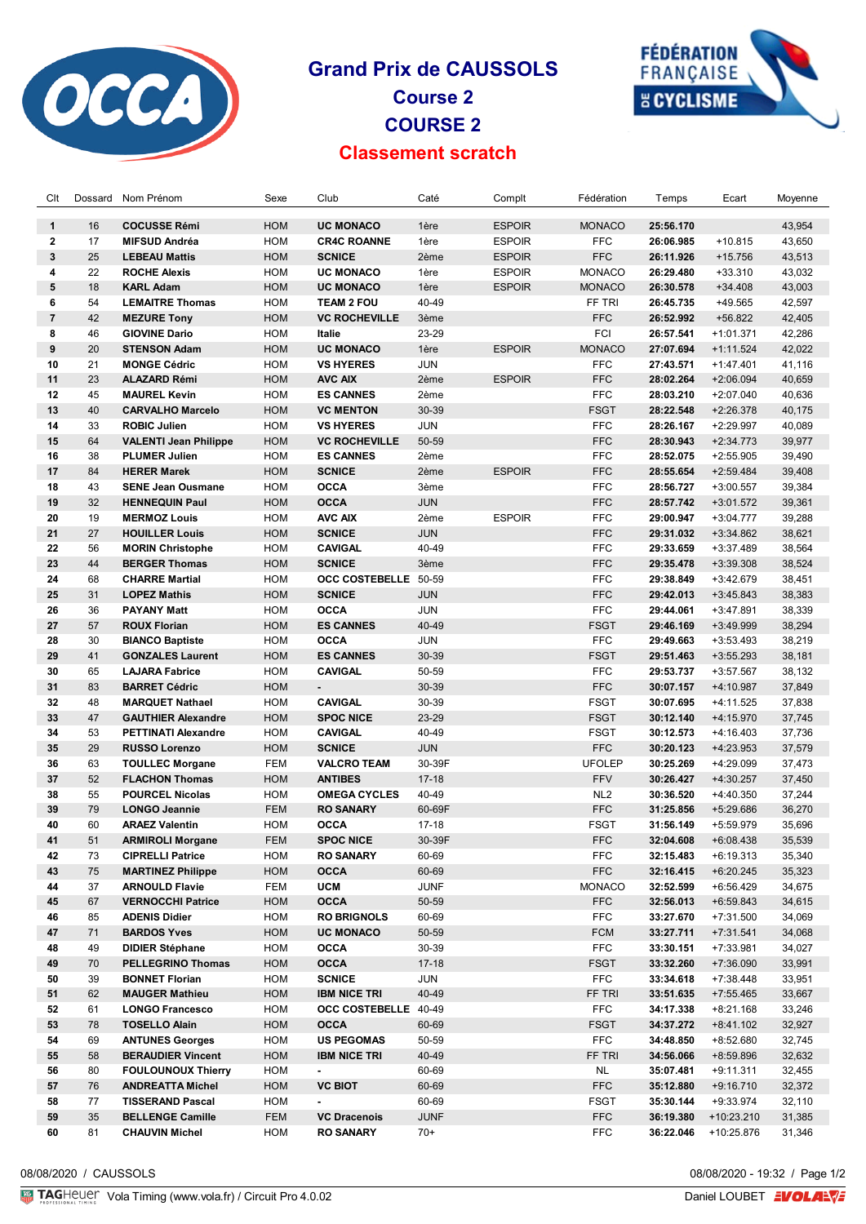

## **Grand Prix de CAUSSOLS Course 2 COURSE 2 Classement scratch**



| Clt            | Dossard | Nom Prénom                   | Sexe       | Club                     | Caté        | Complt        | Fédération      | Temps     | Ecart       | Moyenne |
|----------------|---------|------------------------------|------------|--------------------------|-------------|---------------|-----------------|-----------|-------------|---------|
| $\mathbf{1}$   | 16      | <b>COCUSSE Rémi</b>          | <b>HOM</b> | <b>UC MONACO</b>         | 1ère        | <b>ESPOIR</b> | <b>MONACO</b>   | 25:56.170 |             | 43,954  |
| $\mathbf{2}$   | 17      | <b>MIFSUD Andréa</b>         | HOM        | <b>CR4C ROANNE</b>       | 1ère        | <b>ESPOIR</b> | <b>FFC</b>      | 26:06.985 | $+10.815$   | 43,650  |
| 3              | 25      | <b>LEBEAU Mattis</b>         | <b>HOM</b> | <b>SCNICE</b>            | 2ème        | <b>ESPOIR</b> | <b>FFC</b>      | 26:11.926 | $+15.756$   | 43,513  |
| 4              | 22      | <b>ROCHE Alexis</b>          | <b>HOM</b> | <b>UC MONACO</b>         | 1ère        | <b>ESPOIR</b> | <b>MONACO</b>   | 26:29.480 | $+33.310$   | 43,032  |
| 5              | 18      | <b>KARL Adam</b>             | <b>HOM</b> | <b>UC MONACO</b>         | 1ère        | <b>ESPOIR</b> | <b>MONACO</b>   | 26:30.578 | $+34.408$   | 43,003  |
| 6              | 54      | <b>LEMAITRE Thomas</b>       | <b>HOM</b> | <b>TEAM 2 FOU</b>        | 40-49       |               | FF TRI          | 26:45.735 | +49.565     | 42,597  |
| $\overline{7}$ | 42      | <b>MEZURE Tony</b>           | <b>HOM</b> | <b>VC ROCHEVILLE</b>     | 3ème        |               | <b>FFC</b>      | 26:52.992 | $+56.822$   | 42,405  |
| 8              | 46      | <b>GIOVINE Dario</b>         | <b>HOM</b> | Italie                   | 23-29       |               | FCI             | 26:57.541 | $+1:01.371$ | 42,286  |
| 9              | 20      | <b>STENSON Adam</b>          | <b>HOM</b> | <b>UC MONACO</b>         | 1ère        | <b>ESPOIR</b> | <b>MONACO</b>   | 27:07.694 | $+1:11.524$ | 42,022  |
| 10             | 21      | <b>MONGE Cédric</b>          | <b>HOM</b> | <b>VS HYERES</b>         | <b>JUN</b>  |               | <b>FFC</b>      | 27:43.571 | $+1:47.401$ | 41,116  |
| 11             | 23      | <b>ALAZARD Rémi</b>          | <b>HOM</b> | <b>AVC AIX</b>           | 2ème        | <b>ESPOIR</b> | <b>FFC</b>      | 28:02.264 | $+2:06.094$ | 40,659  |
| 12             | 45      | <b>MAUREL Kevin</b>          | <b>HOM</b> | <b>ES CANNES</b>         | 2ème        |               | <b>FFC</b>      | 28:03.210 | +2:07.040   | 40,636  |
| 13             | 40      | <b>CARVALHO Marcelo</b>      | <b>HOM</b> | <b>VC MENTON</b>         | 30-39       |               | <b>FSGT</b>     | 28:22.548 | $+2:26.378$ | 40,175  |
| 14             | 33      | <b>ROBIC Julien</b>          | <b>HOM</b> | <b>VS HYERES</b>         | <b>JUN</b>  |               | <b>FFC</b>      | 28:26.167 | +2:29.997   | 40,089  |
| 15             | 64      | <b>VALENTI Jean Philippe</b> | HOM        | <b>VC ROCHEVILLE</b>     | 50-59       |               | <b>FFC</b>      | 28:30.943 | $+2:34.773$ | 39,977  |
| 16             | 38      | <b>PLUMER Julien</b>         | <b>HOM</b> | <b>ES CANNES</b>         | 2ème        |               | <b>FFC</b>      |           |             |         |
|                |         |                              |            |                          |             |               |                 | 28:52.075 | $+2:55.905$ | 39,490  |
| 17             | 84      | <b>HERER Marek</b>           | <b>HOM</b> | <b>SCNICE</b>            | 2ème        | <b>ESPOIR</b> | <b>FFC</b>      | 28:55.654 | $+2:59.484$ | 39,408  |
| 18             | 43      | <b>SENE Jean Ousmane</b>     | <b>HOM</b> | <b>OCCA</b>              | 3ème        |               | <b>FFC</b>      | 28:56.727 | +3:00.557   | 39,384  |
| 19             | 32      | <b>HENNEQUIN Paul</b>        | HOM        | <b>OCCA</b>              | <b>JUN</b>  |               | <b>FFC</b>      | 28:57.742 | +3:01.572   | 39,361  |
| 20             | 19      | <b>MERMOZ Louis</b>          | HOM        | <b>AVC AIX</b>           | 2ème        | <b>ESPOIR</b> | <b>FFC</b>      | 29:00.947 | $+3:04.777$ | 39,288  |
| 21             | 27      | <b>HOUILLER Louis</b>        | HOM        | <b>SCNICE</b>            | <b>JUN</b>  |               | <b>FFC</b>      | 29:31.032 | +3:34.862   | 38,621  |
| 22             | 56      | <b>MORIN Christophe</b>      | HOM        | <b>CAVIGAL</b>           | 40-49       |               | <b>FFC</b>      | 29:33.659 | $+3:37.489$ | 38,564  |
| 23             | 44      | <b>BERGER Thomas</b>         | HOM        | <b>SCNICE</b>            | 3ème        |               | <b>FFC</b>      | 29:35.478 | +3:39.308   | 38,524  |
| 24             | 68      | <b>CHARRE Martial</b>        | HOM        | OCC COSTEBELLE 50-59     |             |               | <b>FFC</b>      | 29:38.849 | +3:42.679   | 38,451  |
| 25             | 31      | <b>LOPEZ Mathis</b>          | HOM        | <b>SCNICE</b>            | <b>JUN</b>  |               | <b>FFC</b>      | 29:42.013 | $+3:45.843$ | 38,383  |
| 26             | 36      | <b>PAYANY Matt</b>           | HOM        | <b>OCCA</b>              | <b>JUN</b>  |               | <b>FFC</b>      | 29:44.061 | +3:47.891   | 38,339  |
| 27             | 57      | <b>ROUX Florian</b>          | <b>HOM</b> | <b>ES CANNES</b>         | 40-49       |               | <b>FSGT</b>     | 29:46.169 | $+3:49.999$ | 38,294  |
| 28             | 30      | <b>BIANCO Baptiste</b>       | HOM        | <b>OCCA</b>              | JUN         |               | <b>FFC</b>      | 29:49.663 | $+3:53.493$ | 38,219  |
| 29             | 41      | <b>GONZALES Laurent</b>      | <b>HOM</b> | <b>ES CANNES</b>         | 30-39       |               | <b>FSGT</b>     | 29:51.463 | $+3:55.293$ | 38,181  |
| 30             | 65      | <b>LAJARA Fabrice</b>        | <b>HOM</b> | <b>CAVIGAL</b>           | 50-59       |               | <b>FFC</b>      | 29:53.737 | +3:57.567   | 38,132  |
| 31             | 83      | <b>BARRET Cédric</b>         | <b>HOM</b> | $\overline{\phantom{a}}$ | 30-39       |               | <b>FFC</b>      | 30:07.157 | +4:10.987   | 37,849  |
| 32             | 48      | <b>MARQUET Nathael</b>       | HOM        | <b>CAVIGAL</b>           | 30-39       |               | <b>FSGT</b>     | 30:07.695 | +4:11.525   | 37,838  |
| 33             | 47      | <b>GAUTHIER Alexandre</b>    | <b>HOM</b> | <b>SPOC NICE</b>         | 23-29       |               | <b>FSGT</b>     | 30:12.140 | +4:15.970   | 37,745  |
| 34             | 53      | <b>PETTINATI Alexandre</b>   | HOM        | <b>CAVIGAL</b>           | 40-49       |               | <b>FSGT</b>     | 30:12.573 | +4:16.403   | 37,736  |
| 35             | 29      | <b>RUSSO Lorenzo</b>         | HOM        | <b>SCNICE</b>            | <b>JUN</b>  |               | <b>FFC</b>      | 30:20.123 | +4:23.953   | 37,579  |
| 36             | 63      | <b>TOULLEC Morgane</b>       | FEM        | <b>VALCRO TEAM</b>       | 30-39F      |               | <b>UFOLEP</b>   | 30:25.269 | +4:29.099   | 37,473  |
| 37             | 52      | <b>FLACHON Thomas</b>        | HOM        | <b>ANTIBES</b>           | $17 - 18$   |               | <b>FFV</b>      | 30:26.427 | +4:30.257   | 37,450  |
| 38             | 55      | <b>POURCEL Nicolas</b>       | <b>HOM</b> | <b>OMEGA CYCLES</b>      | 40-49       |               | NL <sub>2</sub> | 30:36.520 | +4:40.350   | 37,244  |
| 39             | 79      | <b>LONGO Jeannie</b>         | <b>FEM</b> | <b>RO SANARY</b>         | 60-69F      |               | <b>FFC</b>      | 31:25.856 | +5:29.686   | 36,270  |
| 40             | 60      | <b>ARAEZ Valentin</b>        | HOM        | OCCA                     | $17-18$     |               | <b>FSGT</b>     | 31:56.149 | +5:59.979   | 35,696  |
| 41             | 51      | <b>ARMIROLI Morgane</b>      | FEM        | <b>SPOC NICE</b>         | 30-39F      |               | FFC.            | 32:04.608 | +6:08.438   | 35,539  |
| 42             | 73      | <b>CIPRELLI Patrice</b>      | HOM        | <b>RO SANARY</b>         | 60-69       |               | <b>FFC</b>      | 32:15.483 | $+6:19.313$ | 35,340  |
| 43             | 75      | <b>MARTINEZ Philippe</b>     | HOM        | <b>OCCA</b>              | 60-69       |               | <b>FFC</b>      | 32:16.415 | $+6:20.245$ | 35,323  |
| 44             | 37      | <b>ARNOULD Flavie</b>        | FEM        | UCM                      | <b>JUNF</b> |               | <b>MONACO</b>   | 32:52.599 | +6:56.429   | 34,675  |
| 45             | 67      | <b>VERNOCCHI Patrice</b>     | HOM        | <b>OCCA</b>              | 50-59       |               | <b>FFC</b>      | 32:56.013 | +6:59.843   | 34,615  |
| 46             | 85      | <b>ADENIS Didier</b>         | HOM        | <b>RO BRIGNOLS</b>       | 60-69       |               | <b>FFC</b>      | 33:27.670 | +7:31.500   | 34,069  |
| 47             | 71      | <b>BARDOS Yves</b>           | HOM        | <b>UC MONACO</b>         |             |               | <b>FCM</b>      | 33:27.711 |             |         |
|                |         |                              |            |                          | 50-59       |               |                 |           | $+7:31.541$ | 34,068  |
| 48             | 49      | <b>DIDIER Stéphane</b>       | HOM        | OCCA                     | 30-39       |               | <b>FFC</b>      | 33:30.151 | +7:33.981   | 34,027  |
| 49             | 70      | <b>PELLEGRINO Thomas</b>     | HOM        | <b>OCCA</b>              | $17 - 18$   |               | <b>FSGT</b>     | 33:32.260 | +7:36.090   | 33,991  |
| 50             | 39      | <b>BONNET Florian</b>        | HOM        | <b>SCNICE</b>            | JUN         |               | <b>FFC</b>      | 33:34.618 | +7:38.448   | 33,951  |
| 51             | 62      | <b>MAUGER Mathieu</b>        | HOM        | <b>IBM NICE TRI</b>      | 40-49       |               | FF TRI          | 33:51.635 | +7:55.465   | 33,667  |
| 52             | 61      | <b>LONGO Francesco</b>       | HOM        | OCC COSTEBELLE 40-49     |             |               | <b>FFC</b>      | 34:17.338 | $+8:21.168$ | 33,246  |
| 53             | 78      | <b>TOSELLO Alain</b>         | HOM        | OCCA                     | 60-69       |               | <b>FSGT</b>     | 34:37.272 | $+8:41.102$ | 32,927  |
| 54             | 69      | <b>ANTUNES Georges</b>       | HOM        | <b>US PEGOMAS</b>        | 50-59       |               | <b>FFC</b>      | 34:48.850 | +8:52.680   | 32,745  |
| 55             | 58      | <b>BERAUDIER Vincent</b>     | HOM        | <b>IBM NICE TRI</b>      | 40-49       |               | FF TRI          | 34:56.066 | +8:59.896   | 32,632  |
| 56             | 80      | <b>FOULOUNOUX Thierry</b>    | HOM        | $\blacksquare$           | 60-69       |               | NL              | 35:07.481 | +9:11.311   | 32,455  |
| 57             | 76      | <b>ANDREATTA Michel</b>      | HOM        | <b>VC BIOT</b>           | 60-69       |               | <b>FFC</b>      | 35:12.880 | $+9:16.710$ | 32,372  |
| 58             | 77      | <b>TISSERAND Pascal</b>      | HOM        |                          | 60-69       |               | FSGT            | 35:30.144 | +9:33.974   | 32,110  |
| 59             | 35      | <b>BELLENGE Camille</b>      | FEM        | <b>VC Dracenois</b>      | <b>JUNF</b> |               | FFC             | 36:19.380 | +10:23.210  | 31,385  |
| 60             | 81      | <b>CHAUVIN Michel</b>        | HOM        | <b>RO SANARY</b>         | $70+$       |               | <b>FFC</b>      | 36:22.046 | +10:25.876  | 31,346  |